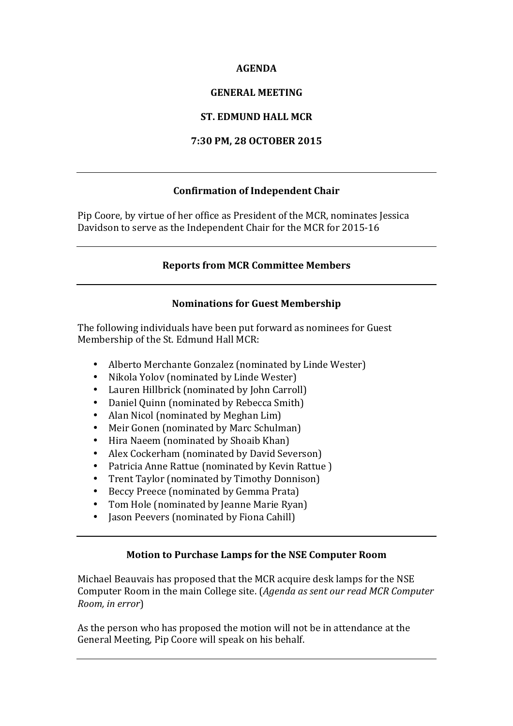#### **AGENDA**

#### **GENERAL MEETING**

## **ST. EDMUND HALL MCR**

#### **7:30 PM, 28 OCTOBER 2015**

## **Confirmation of Independent Chair**

Pip Coore, by virtue of her office as President of the MCR, nominates Jessica Davidson to serve as the Independent Chair for the MCR for 2015-16

#### **Reports from MCR Committee Members**

#### **Nominations for Guest Membership**

The following individuals have been put forward as nominees for Guest Membership of the St. Edmund Hall MCR:

- Alberto Merchante Gonzalez (nominated by Linde Wester)
- Nikola Yolov (nominated by Linde Wester)
- Lauren Hillbrick (nominated by John Carroll)
- Daniel Quinn (nominated by Rebecca Smith)
- Alan Nicol (nominated by Meghan Lim)
- Meir Gonen (nominated by Marc Schulman)
- Hira Naeem (nominated by Shoaib Khan)
- Alex Cockerham (nominated by David Severson)
- Patricia Anne Rattue (nominated by Kevin Rattue)
- Trent Taylor (nominated by Timothy Donnison)
- Beccy Preece (nominated by Gemma Prata)
- Tom Hole (nominated by Jeanne Marie Ryan)
- Jason Peevers (nominated by Fiona Cahill)

## **Motion to Purchase Lamps for the NSE Computer Room**

Michael Beauvais has proposed that the MCR acquire desk lamps for the NSE Computer Room in the main College site. (*Agenda as sent our read MCR Computer Room, in error*)

As the person who has proposed the motion will not be in attendance at the General Meeting, Pip Coore will speak on his behalf.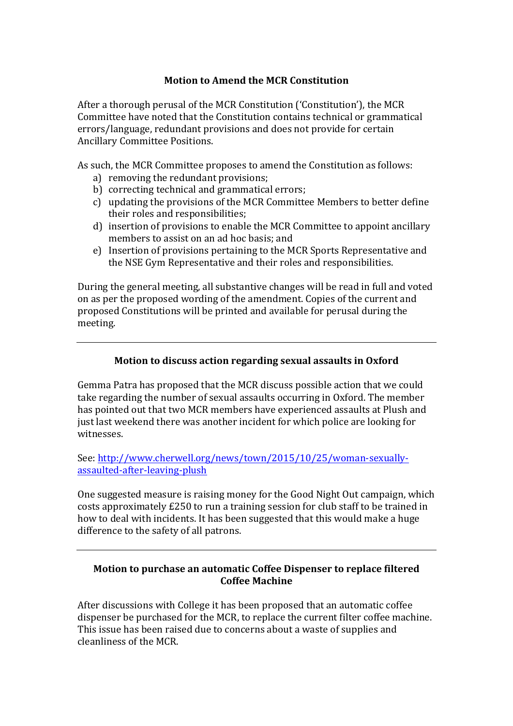## **Motion to Amend the MCR Constitution**

After a thorough perusal of the MCR Constitution ('Constitution'), the MCR Committee have noted that the Constitution contains technical or grammatical errors/language, redundant provisions and does not provide for certain Ancillary Committee Positions. 

As such, the MCR Committee proposes to amend the Constitution as follows:

- a) removing the redundant provisions;
- b) correcting technical and grammatical errors;
- c) updating the provisions of the MCR Committee Members to better define their roles and responsibilities;
- d) insertion of provisions to enable the MCR Committee to appoint ancillary members to assist on an ad hoc basis; and
- e) Insertion of provisions pertaining to the MCR Sports Representative and the NSE Gym Representative and their roles and responsibilities.

During the general meeting, all substantive changes will be read in full and voted on as per the proposed wording of the amendment. Copies of the current and proposed Constitutions will be printed and available for perusal during the meeting. 

## **Motion to discuss action regarding sexual assaults in Oxford**

Gemma Patra has proposed that the MCR discuss possible action that we could take regarding the number of sexual assaults occurring in Oxford. The member has pointed out that two MCR members have experienced assaults at Plush and just last weekend there was another incident for which police are looking for witnesses. 

See: http://www.cherwell.org/news/town/2015/10/25/woman-sexuallyassaulted-after-leaving-plush

One suggested measure is raising money for the Good Night Out campaign, which costs approximately £250 to run a training session for club staff to be trained in how to deal with incidents. It has been suggested that this would make a huge difference to the safety of all patrons.

## **Motion to purchase an automatic Coffee Dispenser to replace filtered Coffee Machine**

After discussions with College it has been proposed that an automatic coffee dispenser be purchased for the MCR, to replace the current filter coffee machine. This issue has been raised due to concerns about a waste of supplies and cleanliness of the MCR.